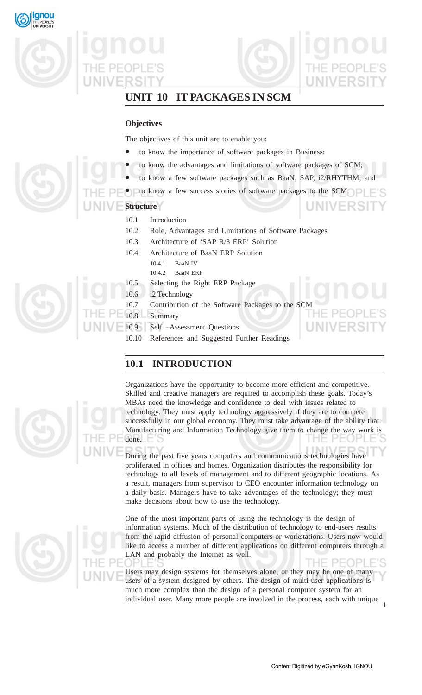

JNIVERSI

# **UNIT 10 IT PACKAGES IN SCM**

# **Objectives**

The objectives of this unit are to enable you:

- to know the importance of software packages in Business;
- to know the advantages and limitations of software packages of SCM;
- to know a few software packages such as BaaN, SAP, i2/RHYTHM; and
- to know a few success stories of software packages to the SCM.

- 10.1 Introduction
- 10.2 Role, Advantages and Limitations of Software Packages
- 10.3 Architecture of 'SAP R/3 ERP' Solution
- 10.4 Architecture of BaaN ERP Solution
	- 10.4.1 BaaN IV
	- 10.4.2 BaaN ERP
- 10.5 Selecting the Right ERP Package
- 10.6 i2 Technology
- 10.7 Contribution of the Software Packages to the SCM
- 10.8 Summary
- 10.9 Self –Assessment Questions
	- 10.10 References and Suggested Further Readings

# **10.1 INTRODUCTION**

Organizations have the opportunity to become more efficient and competitive. Skilled and creative managers are required to accomplish these goals. Today's MBAs need the knowledge and confidence to deal with issues related to technology. They must apply technology aggressively if they are to compete successfully in our global economy. They must take advantage of the ability that Manufacturing and Information Technology give them to change the way work is done.

During the past five years computers and communications technologies have proliferated in offices and homes. Organization distributes the responsibility for technology to all levels of management and to different geographic locations. As a result, managers from supervisor to CEO encounter information technology on a daily basis. Managers have to take advantages of the technology; they must make decisions about how to use the technology.

One of the most important parts of using the technology is the design of information systems. Much of the distribution of technology to end-users results from the rapid diffusion of personal computers or workstations. Users now would like to access a number of different applications on different computers through a LAN and probably the Internet as well.

THE PEOPI Users may design systems for themselves alone, or they may be one of many users of a system designed by others. The design of multi-user applications is much more complex than the design of a personal computer system for an individual user. Many more people are involved in the process, each with unique 1





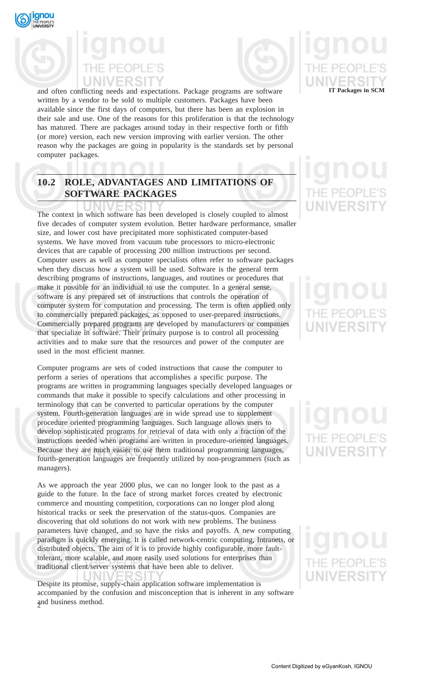



and often conflicting needs and expectations. Package programs are software written by a vendor to be sold to multiple customers. Packages have been available since the first days of computers, but there has been an explosion in their sale and use. One of the reasons for this proliferation is that the technology has matured. There are packages around today in their respective forth or fifth (or more) version, each new version improving with earlier version. The other reason why the packages are going in popularity is the standards set by personal computer packages.

# **10.2 ROLE, ADVANTAGES AND LIMITATIONS OF SOFTWARE PACKAGES**

The context in which software has been developed is closely coupled to almost five decades of computer system evolution. Better hardware performance, smaller size, and lower cost have precipitated more sophisticated computer-based systems. We have moved from vacuum tube processors to micro-electronic devices that are capable of processing 200 million instructions per second. Computer users as well as computer specialists often refer to software packages when they discuss how a system will be used. Software is the general term describing programs of instructions, languages, and routines or procedures that make it possible for an individual to use the computer. In a general sense, software is any prepared set of instructions that controls the operation of computer system for computation and processing. The term is often applied only to commercially prepared packages, as opposed to user-prepared instructions. Commercially prepared programs are developed by manufacturers or companies that specialize in software. Their primary purpose is to control all processing activities and to make sure that the resources and power of the computer are used in the most efficient manner.

Computer programs are sets of coded instructions that cause the computer to perform a series of operations that accomplishes a specific purpose. The programs are written in programming languages specially developed languages or commands that make it possible to specify calculations and other processing in terminology that can be converted to particular operations by the computer system. Fourth-generation languages are in wide spread use to supplement procedure oriented programming languages. Such language allows users to develop sophisticated programs for retrieval of data with only a fraction of the instructions needed when programs are written in procedure-oriented languages. Because they are much easier to use them traditional programming languages, fourth-generation languages are frequently utilized by non-programmers (such as managers).

As we approach the year 2000 plus, we can no longer look to the past as a guide to the future. In the face of strong market forces created by electronic commerce and mounting competition, corporations can no longer plod along historical tracks or seek the preservation of the status-quos. Companies are discovering that old solutions do not work with new problems. The business parameters have changed, and so have the risks and payoffs. A new computing paradigm is quickly emerging. It is called network-centric computing, Intranets, or distributed objects. The aim of it is to provide highly configurable, more faulttolerant, more scalable, and more easily used solutions for enterprises than traditional client/server systems that have been able to deliver.

2 and business method. Despite its promise, supply-chain application software implementation is accompanied by the confusion and misconception that is inherent in any software

# **IT Packages in SCM**

# = PFOP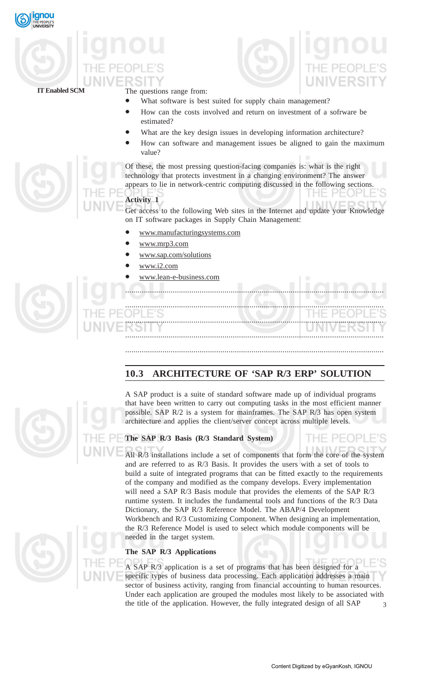



**IT Enabled SCM**

The questions range from:

- What software is best suited for supply chain management?
- How can the costs involved and return on investment of a sofrware be estimated?
- What are the key design issues in developing information architecture?
- How can software and management issues be aligned to gain the maximum value?

Of these, the most pressing question-facing companies is: what is the right technology that protects investment in a changing environment? The answer appears to lie in network-centric computing discussed in the following sections.

# **Activity 1**

Get access to the following Web sites in the Internet and update your Knowledge on IT software packages in Supply Chain Management:

.............................................................................................................................

- www.manufacturingsystems.com
- www.mrp3.com
- www.sap.com/solutions
- www.i2.com
- www.lean-e-business.com



............................................................................................................................. ............................................................................................................................. .............................................................................................................................

# **10.3 ARCHITECTURE OF 'SAP R/3 ERP' SOLUTION**

.............................................................................................................................



A SAP product is a suite of standard software made up of individual programs that have been written to carry out computing tasks in the most efficient manner possible. SAP R/2 is a system for mainframes. The SAP R/3 has open system architecture and applies the client/server concept across multiple levels.

# **The SAP R/3 Basis (R/3 Standard System)**

All R/3 installations include a set of components that form the core of the system and are referred to as R/3 Basis. It provides the users with a set of tools to build a suite of integrated programs that can be fitted exactly to the requirements of the company and modified as the company develops. Every implementation will need a SAP R/3 Basis module that provides the elements of the SAP R/3 runtime system. It includes the fundamental tools and functions of the R/3 Data Dictionary, the SAP R/3 Reference Model. The ABAP/4 Development Workbench and R/3 Customizing Component. When designing an implementation, the R/3 Reference Model is used to select which module components will be needed in the target system.

# **The SAP R/3 Applications**

3 A SAP R/3 application is a set of programs that has been designed for a specific types of business data processing. Each application addresses a main sector of business activity, ranging from financial accounting to human resources. Under each application are grouped the modules most likely to be associated with the title of the application. However, the fully integrated design of all SAP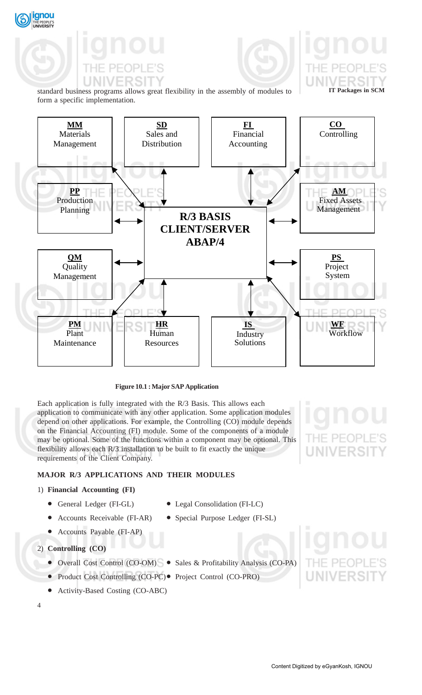ignou

standard business programs allows great flexibility in the assembly of modules to form a specific implementation.



# **Figure 10.1 : Major SAP Application**

Each application is fully integrated with the R/3 Basis. This allows each application to communicate with any other application. Some application modules depend on other applications. For example, the Controlling (CO) module depends on the Financial Accounting (FI) module. Some of the components of a module may be optional. Some of the functions within a component may be optional. This flexibility allows each R/3 installation to be built to fit exactly the unique requirements of the Client Company.

# **MAJOR R/3 APPLICATIONS AND THEIR MODULES**

# 1) **Financial Accounting (FI)**

- General Ledger (FI-GL) Legal Consolidation (FI-LC)
- Accounts Receivable (FI-AR) Special Purpose Ledger (FI-SL)
- -
- 
- Accounts Payable (FI-AP)
- 2) **Controlling (CO)**
	- Overall Cost Control (CO-OM) Sales & Profitability Analysis (CO-PA)
	- Product Cost Controlling (CO-PC) Project Control (CO-PRO)
	- Activity-Based Costing (CO-ABC)
- 4



UNIVERSIT

**IT Packages in SCM**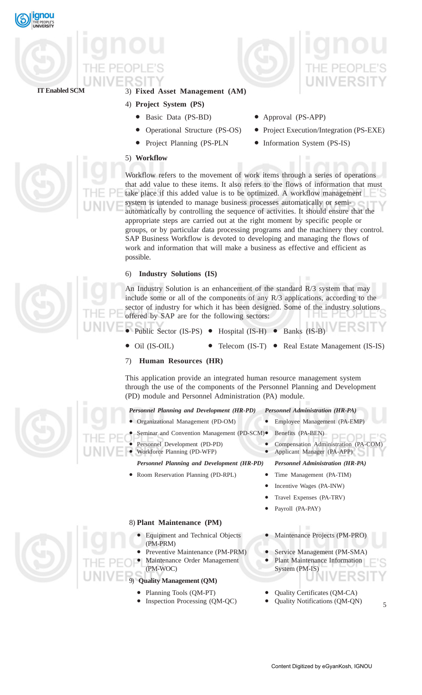



# 3) **Fixed Asset Management (AM)**

- 4) **Project System (PS)**
	- Basic Data (PS-BD) Approval (PS-APP)
	-
	-
- 
- Operational Structure (PS-OS) Project Execution/Integration (PS-EXE)
- Project Planning (PS-PLN Information System (PS-IS)

5) **Workflow**



Workflow refers to the movement of work items through a series of operations that add value to these items. It also refers to the flows of information that must take place if this added value is to be optimized. A workflow management system is intended to manage business processes automatically or semiautomatically by controlling the sequence of activities. It should ensure that the appropriate steps are carried out at the right moment by specific people or groups, or by particular data processing programs and the machinery they control. SAP Business Workflow is devoted to developing and managing the flows of work and information that will make a business as effective and efficient as possible.

# 6) **Industry Solutions (IS)**

An Industry Solution is an enhancement of the standard R/3 system that may include some or all of the components of any R/3 applications, according to the sector of industry for which it has been designed. Some of the industry solutions offered by SAP are for the following sectors:

- Public Sector (IS-PS) Hospital (IS-H) Banks (IS-B)
- Oil (IS-OIL) Telecom (IS-T) Real Estate Management (IS-IS)
- 7) **Human Resources (HR)**

This application provide an integrated human resource management system through the use of the components of the Personnel Planning and Development (PD) module and Personnel Administration (PA) module.

## *Personnel Planning and Development (HR-PD) Personnel Administration (HR-PA)*

- Organizational Management (PD-OM) Employee Management (PA-EMP)
- Seminar and Convention Management (PD-SCM)• Benefits (PA-BEN)
- Personnel Development (PD-PD) Compensation Administration (PA-COM)
- 
- *Personnel Planning and Development (HR-PD) Personnel Administration (HR-PA)*
- Workforce Planning (PD-WFP) Applicant Manager (PA-APP)

PFOPI

- Room Reservation Planning (PD-RPL) Time Management (PA-TIM) Incentive Wages (PA-INW)
	- Travel Expenses (PA-TRV)
	- Payroll (PA-PAY)

# 8) **Plant Maintenance (PM)**

- Equipment and Technical Objects Maintenance Projects (PM-PRO) (PM-PRM)
- Preventive Maintenance (PM-PRM) Service Management (PM-SMA) Maintenance Order Management • Plant Maintenance Information
- (PM-WOC) System (PM-IS)

# 9) **Quality Management (QM)**

- 
- Inspection Processing (QM-QC) Quality Notifications (QM-QN)
- Planning Tools (QM-PT) Quality Certificates (QM-CA)
	-
- 5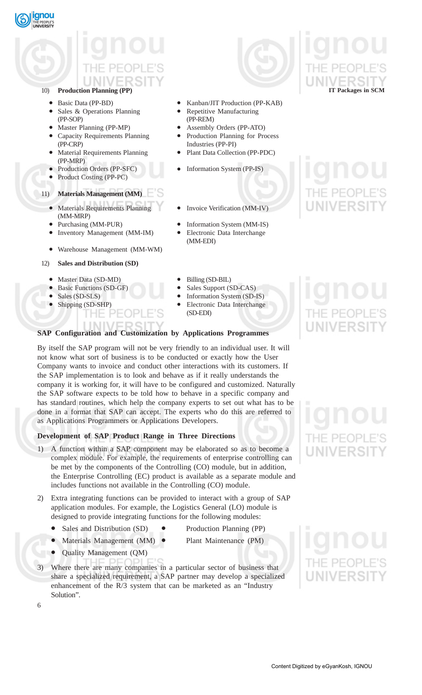

# 10) **Production Planning (PP)**

- 
- Sales & Operations Planning Repetitive Manufacturing (PP-SOP) (PP-REM)
- 
- Capacity Requirements Planning Production Planning for Process (PP-CRP) Industries (PP-PI)
- Material Requirements Planning Plant Data Collection (PP-PDC) (PP-MRP)
- 
- Product Costing (PP-PC)

# 11) **Materials Management (MM)**

- Materials Requirements Planning Invoice Verification (MM-IV) (MM-MRP)
- 
- Inventory Management (MM-IM) Electronic Data Interchange
- Warehouse Management (MM-WM)
- 12) **Sales and Distribution (SD)**
	-
	- Master Data (SD-MD) Billing (SD-BIL) Basic Functions (SD-GF) Sales Support (SD-CAS) • Basic Functions (SD-GF)
	-
	- Shipping (SD-SHP) Electronic Data Interchange HE
- Basic Data (PP-BD) Kanban/JIT Production (PP-KAB)
	-
- Master Planning (PP-MP) Assembly Orders (PP-ATO)
	-
- Production Orders (PP-SFC) Information System (PP-IS)
	-
- Purchasing (MM-PUR) Information System (MM-IS)
	- (MM-EDI)
	-
	-
- Sales (SD-SLS) Information System (SD-IS)
	- (SD-EDI)

# **SAP Configuration and Customization by Applications Programmes**

By itself the SAP program will not be very friendly to an individual user. It will not know what sort of business is to be conducted or exactly how the User Company wants to invoice and conduct other interactions with its customers. If the SAP implementation is to look and behave as if it really understands the company it is working for, it will have to be configured and customized. Naturally the SAP software expects to be told how to behave in a specific company and has standard routines, which help the company experts to set out what has to be done in a format that SAP can accept. The experts who do this are referred to as Applications Programmers or Applications Developers.

# **Development of SAP Product Range in Three Directions**

1) A function within a SAP component may be elaborated so as to become a complex module. For example, the requirements of enterprise controlling can be met by the components of the Controlling (CO) module, but in addition, the Enterprise Controlling (EC) product is available as a separate module and includes functions not available in the Controlling (CO) module.

2) Extra integrating functions can be provided to interact with a group of SAP application modules. For example, the Logistics General (LO) module is designed to provide integrating functions for the following modules:

- Sales and Distribution (SD) Production Planning (PP)
	-
	- Materials Management (MM) Plant Maintenance (PM)
- Quality Management (QM)
- 3) Where there are many companies in a particular sector of business that share a specialized requirement, a SAP partner may develop a specialized enhancement of the R/3 system that can be marketed as an "Industry Solution".



**IT Packages in SCM**

# **JNIVERSI**

6

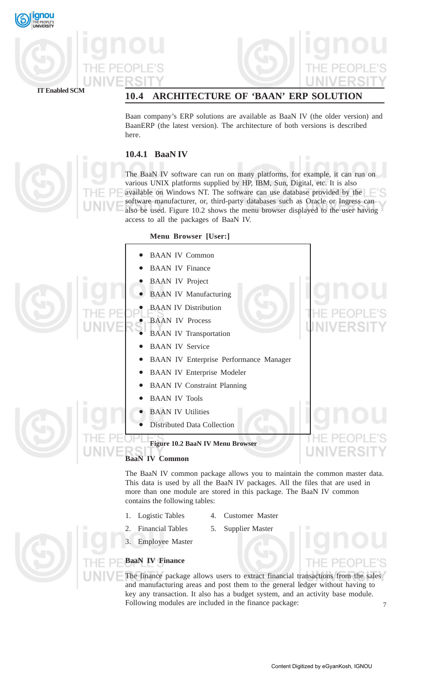





**IT Enabled SCM**

# **10.4 ARCHITECTURE OF 'BAAN' ERP SOLUTION**

Baan company's ERP solutions are available as BaaN IV (the older version) and BaanERP (the latest version). The architecture of both versions is described here.

# **10.4.1 BaaN IV**

The BaaN IV software can run on many platforms, for example, it can run on various UNIX platforms supplied by HP, IBM, Sun, Digital, etc. It is also available on Windows NT. The software can use database provided by the software manufacturer, or, third-party databases such as Oracle or Ingress can also be used. Figure 10.2 shows the menu browser displayed to the user having access to all the packages of BaaN IV.

# **Menu Browser [User:]**

|                                                                          |           | <b>BAAN IV Common</b>                         |                               |
|--------------------------------------------------------------------------|-----------|-----------------------------------------------|-------------------------------|
|                                                                          |           | <b>BAAN IV Finance</b>                        |                               |
|                                                                          |           | <b>BAAN IV Project</b>                        |                               |
|                                                                          | $\bullet$ | <b>BAAN IV Manufacturing</b>                  |                               |
|                                                                          |           | <b>BAAN IV Distribution</b>                   |                               |
|                                                                          |           | <b>BAAN IV Process</b>                        |                               |
|                                                                          |           | <b>BAAN IV Transportation</b>                 |                               |
|                                                                          |           | <b>BAAN IV Service</b>                        |                               |
|                                                                          |           | <b>BAAN IV Enterprise Performance Manager</b> |                               |
|                                                                          |           | <b>BAAN IV Enterprise Modeler</b>             |                               |
|                                                                          |           | <b>BAAN IV Constraint Planning</b>            |                               |
|                                                                          |           | <b>BAAN IV Tools</b>                          |                               |
|                                                                          |           | <b>BAAN IV Utilities</b>                      |                               |
|                                                                          |           | <b>Distributed Data Collection</b>            |                               |
|                                                                          |           | Figure 10.2 BaaN IV Menu Browser              | PFOPLE'S<br><b>UNIVERSITY</b> |
|                                                                          |           | <b>BaaN IV Common</b>                         |                               |
| The BaaN IV common package allows you to maintain the common master data |           |                                               |                               |

The BaaN IV common package allows you to maintain the common master data. This data is used by all the BaaN IV packages. All the files that are used in more than one module are stored in this package. The BaaN IV common contains the following tables:

- 1. Logistic Tables 4. Customer Master
	-
- 2. Financial Tables 5. Supplier Master
- 

3. Employee Master

# **BaaN IV Finance**

7 The finance package allows users to extract financial transactions from the sales and manufacturing areas and post them to the general ledger without having to key any transaction. It also has a budget system, and an activity base module. Following modules are included in the finance package: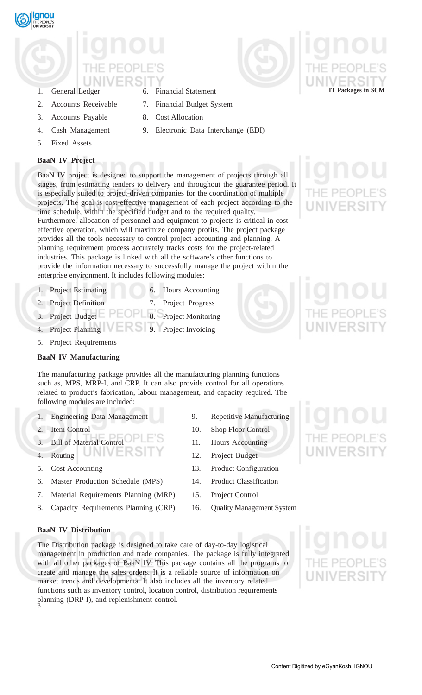# 1. General Ledger 6. Financial Statement

- 
- 
- 3. Accounts Payable 8. Cost Allocation
- 4. Cash Management 9. Electronic Data Interchange (EDI)
- 5. Fixed Assets

# **BaaN IV Project**

BaaN IV project is designed to support the management of projects through all stages, from estimating tenders to delivery and throughout the guarantee period. It is especially suited to project-driven companies for the coordination of multiple projects. The goal is cost-effective management of each project according to the time schedule, within the specified budget and to the required quality. Furthermore, allocation of personnel and equipment to projects is critical in costeffective operation, which will maximize company profits. The project package provides all the tools necessary to control project accounting and planning. A planning requirement process accurately tracks costs for the project-related industries. This package is linked with all the software's other functions to provide the information necessary to successfully manage the project within the enterprise environment. It includes following modules:

- 1. Project Estimating 6. Hours Accounting
- 
- 
- 2. Project Definition 7. Project Progress
- 3. Project Budget  $\Box$   $\Box$  Project Monitoring
- 4. Project Planning 9. Project Invoicing
- 5. Project Requirements

# **BaaN IV Manufacturing**

The manufacturing package provides all the manufacturing planning functions such as, MPS, MRP-I, and CRP. It can also provide control for all operations related to product's fabrication, labour management, and capacity required. The following modules are included:

- 1. Engineering Data Management 9. Repetitive Manufacturing
- 
- 3. Bill of Material Control 11. Hours Accounting
- 
- 5. Cost Accounting 13. Product Configuration
- 6. Master Production Schedule (MPS) 14. Product Classification
- 7. Material Requirements Planning (MRP) 15. Project Control
- 8. Capacity Requirements Planning (CRP) 16. Quality Management System
- 
- 2. Item Control 10. Shop Floor Control
	-
- 4. Routing 12. Project Budget
	-
	-
	- -

## **BaaN IV Distribution**

8 The Distribution package is designed to take care of day-to-day logistical management in production and trade companies. The package is fully integrated with all other packages of BaaN IV. This package contains all the programs to create and manage the sales orders. It is a reliable source of information on market trends and developments. It also includes all the inventory related functions such as inventory control, location control, distribution requirements planning (DRP I), and replenishment control.

Content Digitized by eGyanKosh, IGNOU











**gnou** 

2. Accounts Receivable 7. Financial Budget System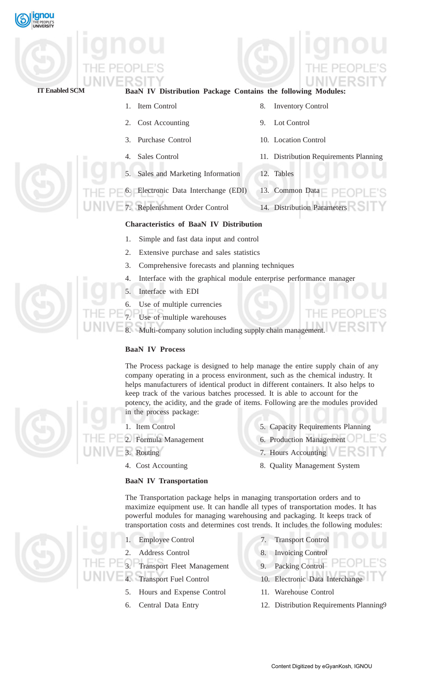

| <b>IT Enabled SCM</b> |  |
|-----------------------|--|

# **BaaN IV Distribution Package Contains the following Modules:**

1. Item Control 8. Inventory Control

2. Cost Accounting 9. Lot Control 3. Purchase Control 10. Location Control 4. Sales Control 11. Distribution Requirements Planning 5. Sales and Marketing Information 12. Tables 6. Electronic Data Interchange (EDI) 13. Common Data 7. Replenishment Order Control 14. Distribution Parameters

# **Characteristics of BaaN IV Distribution**

- 1. Simple and fast data input and control
- 2. Extensive purchase and sales statistics
- 3. Comprehensive forecasts and planning techniques
- 4. Interface with the graphical module enterprise performance manager
- 5. Interface with EDI
- Use of multiple currencies
- Use of multiple warehouses

Multi-company solution including supply chain management.

# **BaaN IV Process**

The Process package is designed to help manage the entire supply chain of any company operating in a process environment, such as the chemical industry. It helps manufacturers of identical product in different containers. It also helps to keep track of the various batches processed. It is able to account for the potency, the acidity, and the grade of items. Following are the modules provided in the process package:

2. Formula Management 6. Production Management

# **BaaN IV Transportation**

- 1. Item Control 5. Capacity Requirements Planning
- 3. Routing 7. Hours Accounting 7.
	-
- 4. Cost Accounting 8. Quality Management System

The Transportation package helps in managing transportation orders and to maximize equipment use. It can handle all types of transportation modes. It has powerful modules for managing warehousing and packaging. It keeps track of transportation costs and determines cost trends. It includes the following modules:

- 
- 
- 3. Transport Fleet Management 9. Packing Control
- 
- 5. Hours and Expense Control 11. Warehouse Control
- 
- 1. Employee Control 7. Transport Control
- 2. Address Control 8. Invoicing Control
	-
	- Transport Fuel Control 10. Electronic Data Interchange
		-
- 9 6. Central Data Entry 12. Distribution Requirements Planning





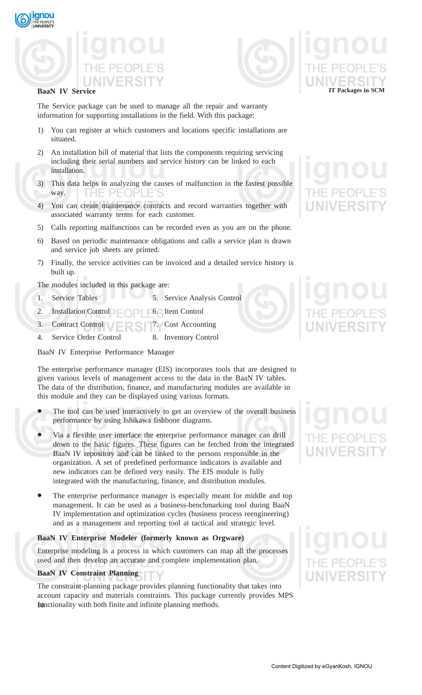





# **BaaN IV Service**

The Service package can be used to manage all the repair and warranty information for supporting installations in the field. With this package:

- 1) You can register at which customers and locations specific installations are situated.
- 2) An installation bill of material that lists the components requiring servicing including their serial numbers and service history can be linked to each installation.
- 3) This data helps in analyzing the causes of malfunction in the fastest possible way.
- 4) You can create maintenance contracts and record warranties together with associated warranty terms for each customer.
- 5) Calls reporting malfunctions can be recorded even as you are on the phone.
- 6) Based on periodic maintenance obligations and calls a service plan is drawn and service job sheets are printed.
- 7) Finally, the service activities can be invoiced and a detailed service history is built up.

The modules included in this package are:

- 1. Service Tables 5. Service Analysis Control
- 2. Installation Control **6.** Item Control
- 3. Contract Control 7. Cost Accounting
- 4. Service Order Control 8. Inventory Control

BaaN IV Enterprise Performance Manager

The enterprise performance manager (EIS) incorporates tools that are designed to given various levels of management access to the data in the BaaN IV tables. The data of the distribution, finance, and manufacturing modules are available in this module and they can be displayed using various formats.

- The tool can be used interactively to get an overview of the overall business performance by using Ishikawa fishbone diagrams.
- Via a flexible user interface the enterprise performance manager can drill down to the basic figures. These figures can be fetched from the integrated BaaN IV repository and can be linked to the persons responsible in the organization. A set of predefined performance indicators is available and new indicators can be defined very easily. The EIS module is fully integrated with the manufacturing, finance, and distribution modules.
- The enterprise performance manager is especially meant for middle and top management. It can be used as a business-benchmarking tool during BaaN IV implementation and optimization cycles (business process reengineering) and as a management and reporting tool at tactical and strategic level.

# **BaaN IV Enterprise Modeler (formerly known as Orgware)**

Enterprise modeling is a process in which customers can map all the processes used and then develop an accurate and complete implementation plan.

# **BaaN IV Constraint Planning**

functionality with both finite and infinite planning methods. The constraint-planning package provides planning functionality that takes into account capacity and materials constraints. This package currently provides MPS

**IT Packages in SCM**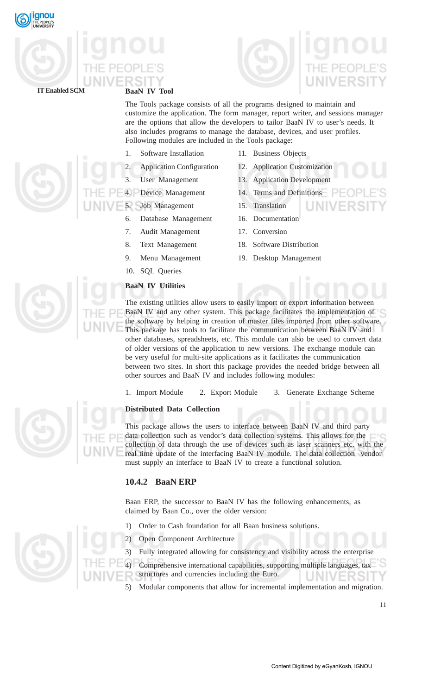





# **BaaN IV Tool**

The Tools package consists of all the programs designed to maintain and customize the application. The form manager, report writer, and sessions manager are the options that allow the developers to tailor BaaN IV to user's needs. It also includes programs to manage the database, devices, and user profiles. Following modules are included in the Tools package:

- 1. Software Installation 11. Business Objects
- 
- 
- 
- 5. Job Management 15. Translation
	- 6. Database Management 16. Documentation
	- 7. Audit Management 17. Conversion
	-
	-
	- 10. SQL Queries
	- **BaaN IV Utilities**
- 
- 2. Application Configuration 12. Application Customization
- 3. User Management 13. Application Development
- 4. Device Management 14. Terms and Definitions

JNIV

- 
- 
- 
- 8. Text Management 18. Software Distribution
- 9. Menu Management 19. Desktop Management

The existing utilities allow users to easily import or export information between BaaN IV and any other system. This package facilitates the implementation of the software by helping in creation of master files imported from other software. This package has tools to facilitate the communication between BaaN IV and other databases, spreadsheets, etc. This module can also be used to convert data of older versions of the application to new versions. The exchange module can be very useful for multi-site applications as it facilitates the communication between two sites. In short this package provides the needed bridge between all other sources and BaaN IV and includes following modules:

1. Import Module 2. Export Module 3. Generate Exchange Scheme

# **Distributed Data Collection**

This package allows the users to interface between BaaN IV and third party data collection such as vendor's data collection systems. This allows for the collection of data through the use of devices such as laser scanners etc. with the real time update of the interfacing BaaN IV module. The data collection vendor must supply an interface to BaaN IV to create a functional solution.

# **10.4.2 BaaN ERP**

Baan ERP, the successor to BaaN IV has the following enhancements, as claimed by Baan Co., over the older version:

1) Order to Cash foundation for all Baan business solutions.

2) Open Component Architecture

3) Fully integrated allowing for consistency and visibility across the enterprise

4) Comprehensive international capabilities, supporting multiple languages, tax structures and currencies including the Euro. ERSI

5) Modular components that allow for incremental implementation and migration.







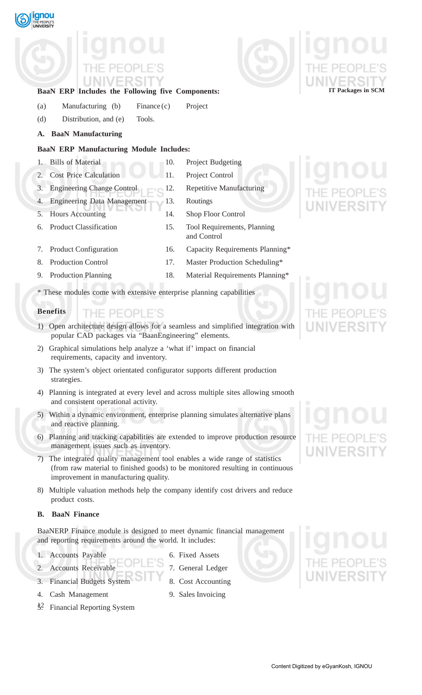- 
- and consistent operational activity.
- and reactive planning.
- 6) Planning and tracking capabilities are extended to improve production resource management issues such as inventory.
- 7) The integrated quality management tool enables a wide range of statistics (from raw material to finished goods) to be monitored resulting in continuous improvement in manufacturing quality.
- 8) Multiple valuation methods help the company identify cost drivers and reduce product costs.

# **B. BaaN Finance**

BaaNERP Finance module is designed to meet dynamic financial management and reporting requirements around the world. It includes:

- 1. Accounts Payable 6. Fixed Assets
- 2. Accounts Receivable 7. General Ledger
- 3. Financial Budgets System 8. Cost Accounting
- 4. Cash Management 9. Sales Invoicing
- $\frac{1}{2}$ 5. Financial Reporting System
- 1. Bills of Material 10. Project Budgeting
- 2. Cost Price Calculation 11. Project Control 3. Engineering Change Control 12. Repetitive Manufacturing
- 4. Engineering Data Management 13. Routings
- 5. Hours Accounting 14. Shop Floor Control
- 6. Product Classification 15. Tool Requirements, Planning and Control
- 7. Product Configuration 16. Capacity Requirements Planning\*
- 8. Production Control 17. Master Production Scheduling\*
- 9. Production Planning 18. Material Requirements Planning\*

\* These modules come with extensive enterprise planning capabilities

**BaaN ERP Includes the Following five Components:**

(a) Manufacturing (b) Finance (c) Project

**BaaN ERP Manufacturing Module Includes:**

(d) Distribution, and (e) Tools.

**A. BaaN Manufacturing**

# **Benefits** PEOPLE'S

- 1) Open architecture design allows for a seamless and simplified integration with popular CAD packages via "BaanEngineering" elements.
- 2) Graphical simulations help analyze a 'what if' impact on financial requirements, capacity and inventory.
- 3) The system's object orientated configurator supports different production strategies.
- 4) Planning is integrated at every level and across multiple sites allowing smooth
- 5) Within a dynamic environment, enterprise planning simulates alternative plans
- 
- 
- 

# Content Digitized by eGyanKosh, IGNOU





gnou





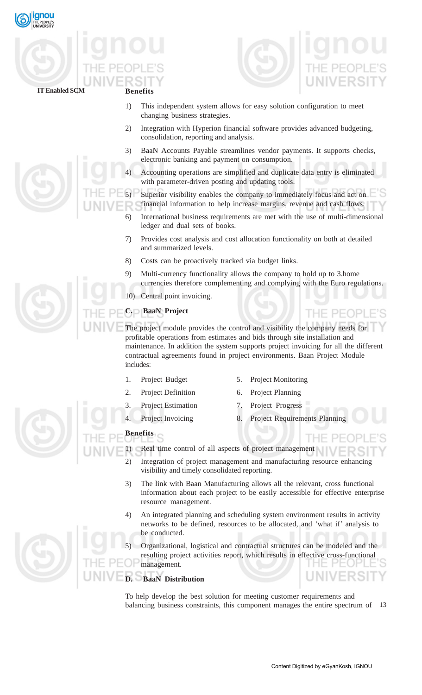





HE PEOPI

- 1) This independent system allows for easy solution configuration to meet changing business strategies.
- 2) Integration with Hyperion financial software provides advanced budgeting, consolidation, reporting and analysis.
- 3) BaaN Accounts Payable streamlines vendor payments. It supports checks, electronic banking and payment on consumption.
- 4) Accounting operations are simplified and duplicate data entry is eliminated with parameter-driven posting and updating tools.

Superior visibility enables the company to immediately focus and act on financial information to help increase margins, revenue and cash flows.

- 6) International business requirements are met with the use of multi-dimensional ledger and dual sets of books.
- 7) Provides cost analysis and cost allocation functionality on both at detailed and summarized levels.
- 8) Costs can be proactively tracked via budget links.
- 9) Multi-currency functionality allows the company to hold up to 3.home currencies therefore complementing and complying with the Euro regulations.
- 10) Central point invoicing.

# **C. BaaN Project**

The project module provides the control and visibility the company needs for profitable operations from estimates and bids through site installation and maintenance. In addition the system supports project invoicing for all the different contractual agreements found in project environments. Baan Project Module includes:

- 
- 1. Project Budget 5. Project Monitoring
- 2. Project Definition 6. Project Planning
- 
- 3. Project Estimation 7. Project Progress
- 4. Project Invoicing 8. Project Requirements Planning
- 

# **Benefits**

- 1) Real time control of all aspects of project management
	- 2) Integration of project management and manufacturing resource enhancing visibility and timely consolidated reporting.
	- 3) The link with Baan Manufacturing allows all the relevant, cross functional information about each project to be easily accessible for effective enterprise resource management.
	- 4) An integrated planning and scheduling system environment results in activity networks to be defined, resources to be allocated, and 'what if' analysis to be conducted.

5) Organizational, logistical and contractual structures can be modeled and the resulting project activities report, which results in effective cross-functional management.

# **BaaN Distribution**

balancing business constraints, this component manages the entire spectrum of 13 To help develop the best solution for meeting customer requirements and



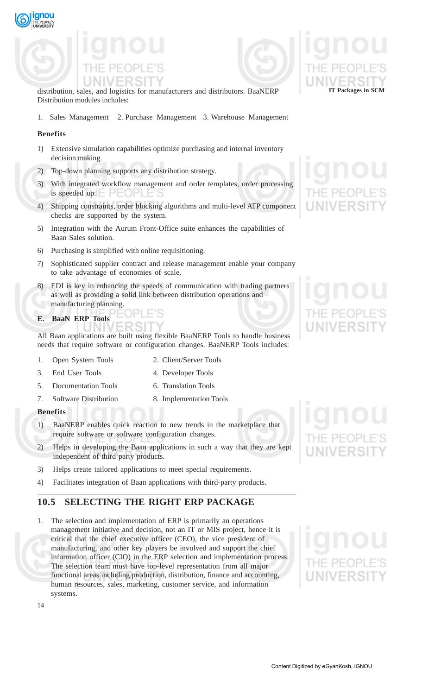



distribution, sales, and logistics for manufacturers and distributors. BaaNERP Distribution modules includes:

1. Sales Management 2. Purchase Management 3. Warehouse Management

# **Benefits**

qnou

- 1) Extensive simulation capabilities optimize purchasing and internal inventory decision making.
- 2) Top-down planning supports any distribution strategy.
- 3) With integrated workflow management and order templates, order processing is speeded up.
- 4) Shipping constraints, order blocking algorithms and multi-level ATP component checks are supported by the system.
- 5) Integration with the Aurum Front-Office suite enhances the capabilities of Baan Sales solution.
- 6) Purchasing is simplified with online requisitioning.
- 7) Sophisticated supplier contract and release management enable your company to take advantage of economies of scale.
- 8) EDI is key in enhancing the speeds of communication with trading partners as well as providing a solid link between distribution operations and manufacturing planning.
- **E. BaaN ERP Tools**

All Baan applications are built using flexible BaaNERP Tools to handle business needs that require software or configuration changes. BaaNERP Tools includes:

- 1. Open System Tools 2. Client/Server Tools
- 3. End User Tools 4. Developer Tools
- 5. Documentation Tools 6. Translation Tools
- 7. Software Distribution 8. Implementation Tools
- **Benefits**
- 1) BaaNERP enables quick reaction to new trends in the marketplace that require software or software configuration changes.
- 2) Helps in developing the Baan applications in such a way that they are kept independent of third party products.
- 3) Helps create tailored applications to meet special requirements.
- 4) Facilitates integration of Baan applications with third-party products.

# **10.5 SELECTING THE RIGHT ERP PACKAGE**

1. The selection and implementation of ERP is primarily an operations management initiative and decision, not an IT or MIS project, hence it is critical that the chief executive officer (CEO), the vice president of manufacturing, and other key players be involved and support the chief information officer (CIO) in the ERP selection and implementation process. The selection team must have top-level representation from all major functional areas including production, distribution, finance and accounting, human resources, sales, marketing, customer service, and information systems.



**IT Packages in SCM**



14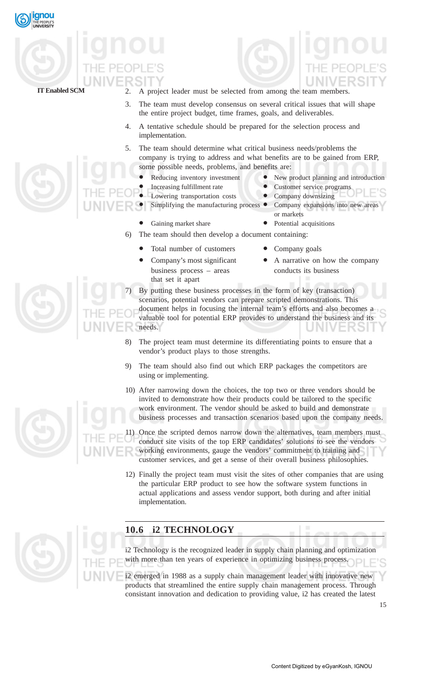



- 2. A project leader must be selected from among the team members.
- 3. The team must develop consensus on several critical issues that will shape the entire project budget, time frames, goals, and deliverables.
- 4. A tentative schedule should be prepared for the selection process and implementation.
- 5. The team should determine what critical business needs/problems the company is trying to address and what benefits are to be gained from ERP, some possible needs, problems, and benefits are:
	- Reducing inventory investment New product planning and introduction
	- - Increasing fulfillment rate Customer service programs
		- Lowering transportation costs Company downsizing
	- Simplifying the manufacturing process Company expansions into new areas
		- or markets
- Gaining market share Potential acquisitions 6) The team should then develop a document containing:
	- Total number of customers Company goals
	- that set it apart
- Company's most significant  $\bullet$  A narrative on how the company
- 7) By putting these business processes in the form of key (transaction) scenarios, potential vendors can prepare scripted demonstrations. This document helps in focusing the internal team's efforts and also becomes a valuable tool for potential ERP provides to understand the business and its needs.
- 8) The project team must determine its differentiating points to ensure that a vendor's product plays to those strengths.
- 9) The team should also find out which ERP packages the competitors are using or implementing.
- 10) After narrowing down the choices, the top two or three vendors should be invited to demonstrate how their products could be tailored to the specific work environment. The vendor should be asked to build and demonstrate business processes and transaction scenarios based upon the company needs.

Once the scripted demos narrow down the alternatives, team members must conduct site visits of the top ERP candidates' solutions to see the vendors working environments, gauge the vendors' commitment to training and customer services, and get a sense of their overall business philosophies.

12) Finally the project team must visit the sites of other companies that are using the particular ERP product to see how the software system functions in actual applications and assess vendor support, both during and after initial implementation.

# **10.6 i2 TECHNOLOGY**

i2 Technology is the recognized leader in supply chain planning and optimization with more than ten years of experience in optimizing business process.

i2 emerged in 1988 as a supply chain management leader with innovative new products that streamlined the entire supply chain management process. Through consistant innovation and dedication to providing value, i2 has created the latest

15



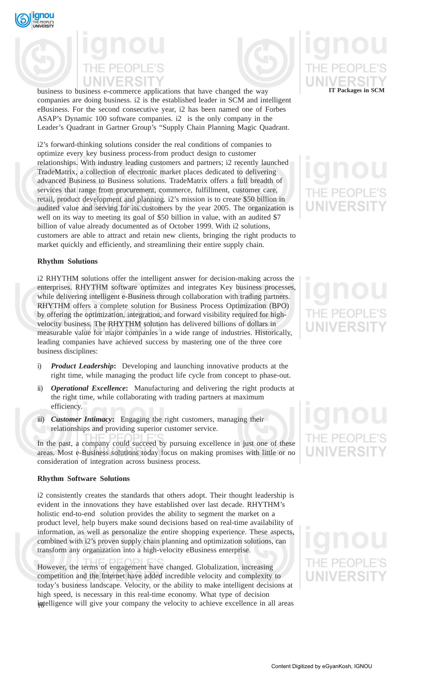



business to business e-commerce applications that have changed the way companies are doing business. i2 is the established leader in SCM and intelligent eBusiness. For the second consecutive year, i2 has been named one of Forbes ASAP's Dynamic 100 software companies. i2 is the only company in the Leader's Quadrant in Gartner Group's "Supply Chain Planning Magic Quadrant.

i2's forward-thinking solutions consider the real conditions of companies to optimize every key business process-from product design to customer relationships. With industry leading customers and partners; i2 recently launched TradeMatrix, a collection of electronic market places dedicated to delivering advanced Business to Business solutions. TradeMatrix offers a full breadth of services that range from procurement, commerce, fulfillment, customer care, retail, product development and planning. i2's mission is to create \$50 billion in audited value and serving for its customers by the year 2005. The organization is well on its way to meeting its goal of \$50 billion in value, with an audited \$7 billion of value already documented as of October 1999. With i2 solutions, customers are able to attract and retain new clients, bringing the right products to market quickly and efficiently, and streamlining their entire supply chain.

# **Rhythm Solutions**

i2 RHYTHM solutions offer the intelligent answer for decision-making across the enterprises. RHYTHM software optimizes and integrates Key business processes, while delivering intelligent e-Business through collaboration with trading partners. RHYTHM offers a complete solution for Business Process Optimization (BPO) by offering the optimization, integration, and forward visibility required for highvelocity business. The RHYTHM solution has delivered billions of dollars in measurable value for major companies in a wide range of industries. Historically, leading companies have achieved success by mastering one of the three core business disciplines:

- i) *Product Leadership***:** Developing and launching innovative products at the right time, while managing the product life cycle from concept to phase-out.
- ii) *Operational Excellence***:** Manufacturing and delivering the right products at the right time, while collaborating with trading partners at maximum efficiency.
- iii) **Customer Intimacy:** Engaging the right customers, managing their relationships and providing superior customer service.

In the past, a company could succeed by pursuing excellence in just one of these areas. Most e-Business solutions today focus on making promises with little or no consideration of integration across business process.

# **Rhythm Software Solutions**

i2 consistently creates the standards that others adopt. Their thought leadership is evident in the innovations they have established over last decade. RHYTHM's holistic end-to-end solution provides the ability to segment the market on a product level, help buyers make sound decisions based on real-time availability of information, as well as personalize the entire shopping experience. These aspects, combined with i2's proven supply chain planning and optimization solutions, can transform any organization into a high-velocity eBusiness enterprise.

iptelligence will give your company the velocity to achieve excellence in all areas However, the terms of engagement have changed. Globalization, increasing competition and the Internet have added incredible velocity and complexity to today's business landscape. Velocity, or the ability to make intelligent decisions at high speed, is necessary in this real-time economy. What type of decision

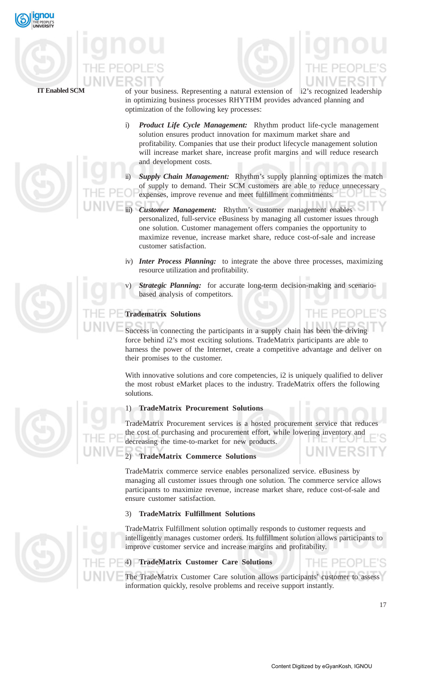

# **IT Enabled SCM**



- of your business. Representing a natural extension of i2's recognized leadership in optimizing business processes RHYTHM provides advanced planning and optimization of the following key processes:
- i) *Product Life Cycle Management:* Rhythm product life-cycle management solution ensures product innovation for maximum market share and profitability. Companies that use their product lifecycle management solution will increase market share, increase profit margins and will reduce research and development costs.
- **Supply Chain Management:** Rhythm's supply planning optimizes the match of supply to demand. Their SCM customers are able to reduce unnecessary expenses, improve revenue and meet fulfillment commitments.
	- **Customer Management:** Rhythm's customer management enables personalized, full-service eBusiness by managing all customer issues through one solution. Customer management offers companies the opportunity to maximize revenue, increase market share, reduce cost-of-sale and increase customer satisfaction.
- iv) *Inter Process Planning:* to integrate the above three processes, maximizing resource utilization and profitability.
- *Strategic Planning:* for accurate long-term decision-making and scenariobased analysis of competitors.

# **Tradematrix Solutions**

Success in connecting the participants in a supply chain has been the driving force behind i2's most exciting solutions. TradeMatrix participants are able to harness the power of the Internet, create a competitive advantage and deliver on their promises to the customer.

With innovative solutions and core competencies, i2 is uniquely qualified to deliver the most robust eMarket places to the industry. TradeMatrix offers the following solutions.

# 1) **TradeMatrix Procurement Solutions**

TradeMatrix Procurement services is a hosted procurement service that reduce the cost of purchasing and procurement effort, while lowering inventory and decreasing the time-to-market for new products.

# 2) **TradeMatrix Commerce Solutions**

TradeMatrix commerce service enables personalized service. eBusiness by managing all customer issues through one solution. The commerce service allows participants to maximize revenue, increase market share, reduce cost-of-sale and ensure customer satisfaction.

# 3) **TradeMatrix Fulfillment Solutions**

TradeMatrix Fulfillment solution optimally responds to customer requests and intelligently manages customer orders. Its fulfillment solution allows participants to improve customer service and increase margins and profitability.

# 4) **TradeMatrix Customer Care Solutions**

The TradeMatrix Customer Care solution allows participants' customer to assess information quickly, resolve problems and receive support instantly.





THE PEOPL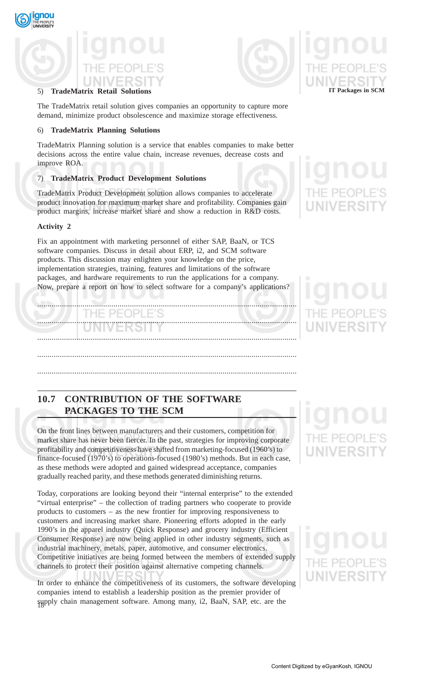

# 5) **TradeMatrix Retail Solutions**

The TradeMatrix retail solution gives companies an opportunity to capture more demand, minimize product obsolescence and maximize storage effectiveness.

# 6) **TradeMatrix Planning Solutions**

TradeMatrix Planning solution is a service that enables companies to make better decisions across the entire value chain, increase revenues, decrease costs and improve ROA.

# 7) **TradeMatrix Product Development Solutions**

TradeMatrix Product Development solution allows companies to accelerate product innovation for maximum market share and profitability. Companies gain product margins, increase market share and show a reduction in R&D costs.

# **Activity 2**

qnou

Fix an appointment with marketing personnel of either SAP, BaaN, or TCS software companies. Discuss in detail about ERP, i2, and SCM software products. This discussion may enlighten your knowledge on the price, implementation strategies, training, features and limitations of the software packages, and hardware requirements to run the applications for a company. Now, prepare a report on how to select software for a company's applications?

.............................................................................................................................. )PI. .............................................................................................................................. .............................................................................................................................. ..............................................................................................................................

**10.7 CONTRIBUTION OF THE SOFTWARE PACKAGES TO THE SCM**

On the front lines between manufacturers and their customers, competition for market share has never been fiercer. In the past, strategies for improving corporate profitability and competitiveness have shifted from marketing-focused (1960's) to finance-focused (1970's) to operations-focused (1980's) methods. But in each case, as these methods were adopted and gained widespread acceptance, companies gradually reached parity, and these methods generated diminishing returns.

..............................................................................................................................

Today, corporations are looking beyond their "internal enterprise" to the extended "virtual enterprise" – the collection of trading partners who cooperate to provide products to customers – as the new frontier for improving responsiveness to customers and increasing market share. Pioneering efforts adopted in the early 1990's in the apparel industry (Quick Response) and grocery industry (Efficient Consumer Response) are now being applied in other industry segments, such as industrial machinery, metals, paper, automotive, and consumer electronics. Competitive initiatives are being formed between the members of extended supply channels to protect their position against alternative competing channels.

18 supply chain management software. Among many, i2, BaaN, SAP, etc. are the In order to enhance the competitiveness of its customers, the software developing companies intend to establish a leadership position as the premier provider of



# **IT Packages in SCM**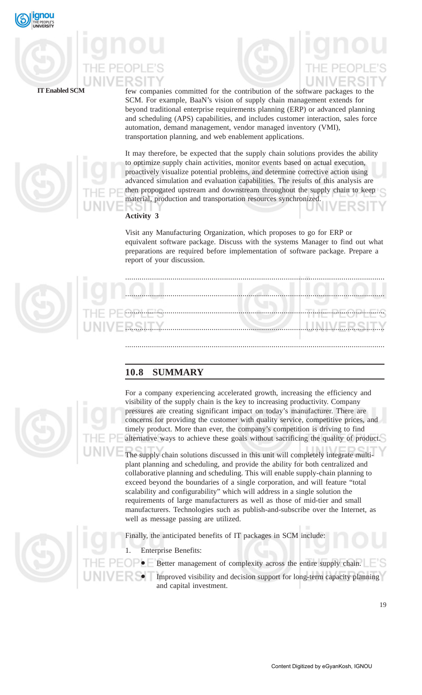

**IT Enabled SCM**

few companies committed for the contribution of the software packages to the SCM. For example, BaaN's vision of supply chain management extends for beyond traditional enterprise requirements planning (ERP) or advanced planning and scheduling (APS) capabilities, and includes customer interaction, sales force automation, demand management, vendor managed inventory (VMI), transportation planning, and web enablement applications.

It may therefore, be expected that the supply chain solutions provides the ability to optimize supply chain activities, monitor events based on actual execution, proactively visualize potential problems, and determine corrective action using advanced simulation and evaluation capabilities. The results of this analysis are then propogated upstream and downstream throughout the supply chain to keep material, production and transportation resources synchronized.

# **Activity 3**

Visit any Manufacturing Organization, which proposes to go for ERP or equivalent software package. Discuss with the systems Manager to find out what preparations are required before implementation of software package. Prepare a report of your discussion.

.............................................................................................................................. .............................................................................................................................. .............................................................................................................................. .............................................................................................................................. ..............................................................................................................................

# **10.8 SUMMARY**



For a company experiencing accelerated growth, increasing the efficiency and visibility of the supply chain is the key to increasing productivity. Company pressures are creating significant impact on today's manufacturer. There are concerns for providing the customer with quality service, competitive prices, and timely product. More than ever, the company's competition is driving to find alternative ways to achieve these goals without sacrificing the quality of product.

The supply chain solutions discussed in this unit will completely integrate multiplant planning and scheduling, and provide the ability for both centralized and collaborative planning and scheduling. This will enable supply-chain planning to exceed beyond the boundaries of a single corporation, and will feature "total scalability and configurability" which will address in a single solution the requirements of large manufacturers as well as those of mid-tier and small manufacturers. Technologies such as publish-and-subscribe over the Internet, as well as message passing are utilized.

Finally, the anticipated benefits of IT packages in SCM include:

**Enterprise Benefits:** 

- Better management of complexity across the entire supply chain.
	- Improved visibility and decision support for long-term capacity planning and capital investment.

19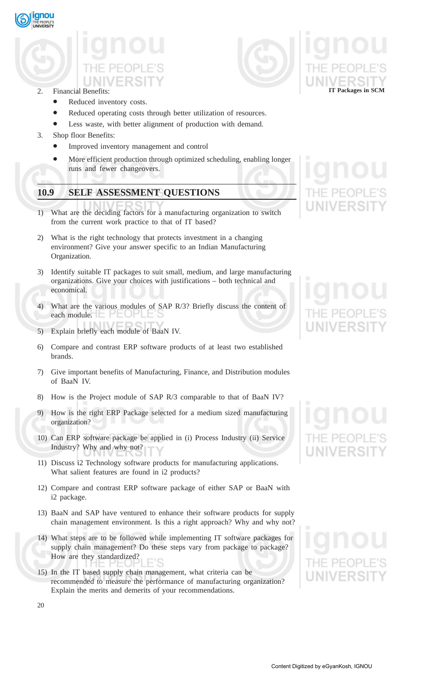

# 2. Financial Benefits:

- Reduced inventory costs.
- Reduced operating costs through better utilization of resources.
- Less waste, with better alignment of production with demand.
- 3. Shop floor Benefits:
	- Improved inventory management and control
	- More efficient production through optimized scheduling, enabling longer runs and fewer changeovers.

# **10.9 SELF ASSESSMENT QUESTIONS**

- 1) What are the deciding factors for a manufacturing organization to switch from the current work practice to that of IT based?
- 2) What is the right technology that protects investment in a changing environment? Give your answer specific to an Indian Manufacturing Organization.
- 3) Identify suitable IT packages to suit small, medium, and large manufacturing organizations. Give your choices with justifications – both technical and economical.
- 4) What are the various modules of SAP R/3? Briefly discuss the content of each module.
- 5) Explain briefly each module of BaaN IV.
- 6) Compare and contrast ERP software products of at least two established brands.
- 7) Give important benefits of Manufacturing, Finance, and Distribution modules of BaaN IV.
- 8) How is the Project module of SAP R/3 comparable to that of BaaN IV?
- 9) How is the right ERP Package selected for a medium sized manufacturing organization?
- 10) Can ERP software package be applied in (i) Process Industry (ii) Service Industry? Why and why not?
- 11) Discuss i2 Technology software products for manufacturing applications. What salient features are found in i2 products?
- 12) Compare and contrast ERP software package of either SAP or BaaN with i2 package.
- 13) BaaN and SAP have ventured to enhance their software products for supply chain management environment. Is this a right approach? Why and why not?
- 14) What steps are to be followed while implementing IT software packages for supply chain management? Do these steps vary from package to package? How are they standardized?
- 15) In the IT based supply chain management, what criteria can be recommended to measure the performance of manufacturing organization? Explain the merits and demerits of your recommendations.

**IT Packages in SCM**

Content Digitized by eGyanKosh, IGNOU